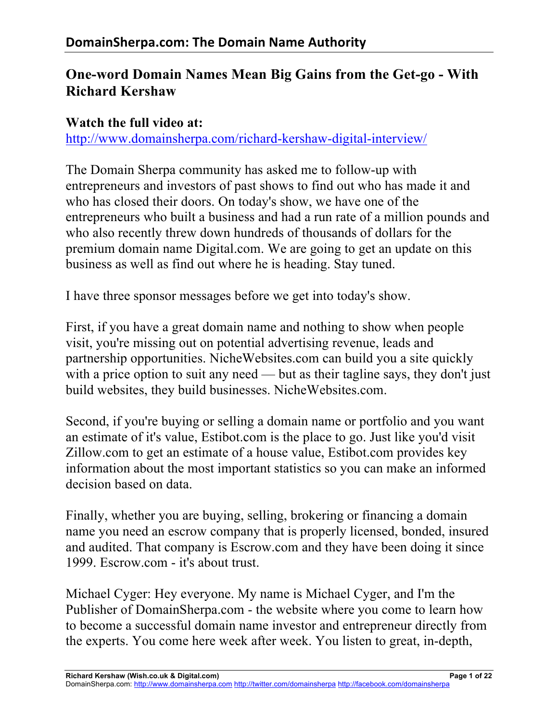# **One-word Domain Names Mean Big Gains from the Get-go - With Richard Kershaw**

#### **Watch the full video at:**

http://www.domainsherpa.com/richard-kershaw-digital-interview/

The Domain Sherpa community has asked me to follow-up with entrepreneurs and investors of past shows to find out who has made it and who has closed their doors. On today's show, we have one of the entrepreneurs who built a business and had a run rate of a million pounds and who also recently threw down hundreds of thousands of dollars for the premium domain name Digital.com. We are going to get an update on this business as well as find out where he is heading. Stay tuned.

I have three sponsor messages before we get into today's show.

First, if you have a great domain name and nothing to show when people visit, you're missing out on potential advertising revenue, leads and partnership opportunities. NicheWebsites.com can build you a site quickly with a price option to suit any need — but as their tagline says, they don't just build websites, they build businesses. NicheWebsites.com.

Second, if you're buying or selling a domain name or portfolio and you want an estimate of it's value, Estibot.com is the place to go. Just like you'd visit Zillow.com to get an estimate of a house value, Estibot.com provides key information about the most important statistics so you can make an informed decision based on data.

Finally, whether you are buying, selling, brokering or financing a domain name you need an escrow company that is properly licensed, bonded, insured and audited. That company is Escrow.com and they have been doing it since 1999. Escrow.com - it's about trust.

Michael Cyger: Hey everyone. My name is Michael Cyger, and I'm the Publisher of DomainSherpa.com - the website where you come to learn how to become a successful domain name investor and entrepreneur directly from the experts. You come here week after week. You listen to great, in-depth,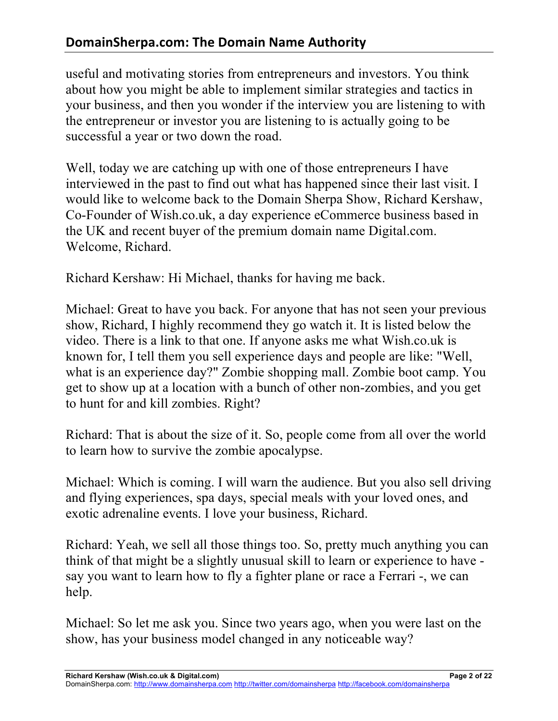useful and motivating stories from entrepreneurs and investors. You think about how you might be able to implement similar strategies and tactics in your business, and then you wonder if the interview you are listening to with the entrepreneur or investor you are listening to is actually going to be successful a year or two down the road.

Well, today we are catching up with one of those entrepreneurs I have interviewed in the past to find out what has happened since their last visit. I would like to welcome back to the Domain Sherpa Show, Richard Kershaw, Co-Founder of Wish.co.uk, a day experience eCommerce business based in the UK and recent buyer of the premium domain name Digital.com. Welcome, Richard.

Richard Kershaw: Hi Michael, thanks for having me back.

Michael: Great to have you back. For anyone that has not seen your previous show, Richard, I highly recommend they go watch it. It is listed below the video. There is a link to that one. If anyone asks me what Wish.co.uk is known for, I tell them you sell experience days and people are like: "Well, what is an experience day?" Zombie shopping mall. Zombie boot camp. You get to show up at a location with a bunch of other non-zombies, and you get to hunt for and kill zombies. Right?

Richard: That is about the size of it. So, people come from all over the world to learn how to survive the zombie apocalypse.

Michael: Which is coming. I will warn the audience. But you also sell driving and flying experiences, spa days, special meals with your loved ones, and exotic adrenaline events. I love your business, Richard.

Richard: Yeah, we sell all those things too. So, pretty much anything you can think of that might be a slightly unusual skill to learn or experience to have say you want to learn how to fly a fighter plane or race a Ferrari -, we can help.

Michael: So let me ask you. Since two years ago, when you were last on the show, has your business model changed in any noticeable way?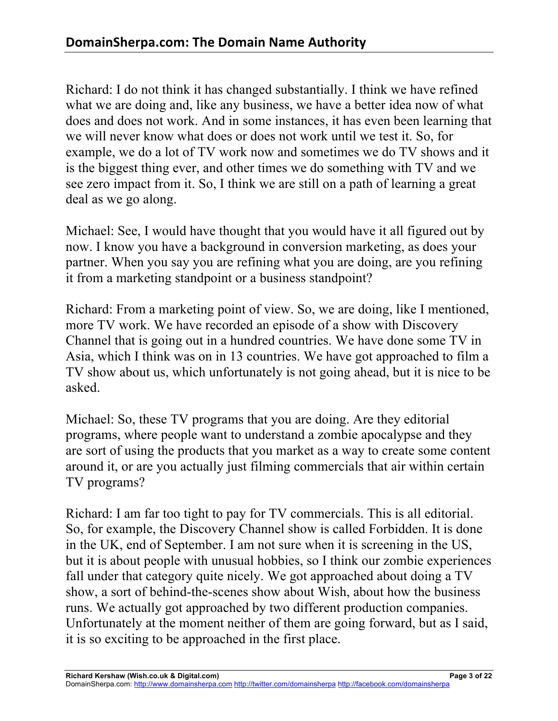Richard: I do not think it has changed substantially. I think we have refined what we are doing and, like any business, we have a better idea now of what does and does not work. And in some instances, it has even been learning that we will never know what does or does not work until we test it. So, for example, we do a lot of TV work now and sometimes we do TV shows and it is the biggest thing ever, and other times we do something with TV and we see zero impact from it. So, I think we are still on a path of learning a great deal as we go along.

Michael: See, I would have thought that you would have it all figured out by now. I know you have a background in conversion marketing, as does your partner. When you say you are refining what you are doing, are you refining it from a marketing standpoint or a business standpoint?

Richard: From a marketing point of view. So, we are doing, like I mentioned, more TV work. We have recorded an episode of a show with Discovery Channel that is going out in a hundred countries. We have done some TV in Asia, which I think was on in 13 countries. We have got approached to film a TV show about us, which unfortunately is not going ahead, but it is nice to be asked.

Michael: So, these TV programs that you are doing. Are they editorial programs, where people want to understand a zombie apocalypse and they are sort of using the products that you market as a way to create some content around it, or are you actually just filming commercials that air within certain TV programs?

Richard: I am far too tight to pay for TV commercials. This is all editorial. So, for example, the Discovery Channel show is called Forbidden. It is done in the UK, end of September. I am not sure when it is screening in the US, but it is about people with unusual hobbies, so I think our zombie experiences fall under that category quite nicely. We got approached about doing a TV show, a sort of behind-the-scenes show about Wish, about how the business runs. We actually got approached by two different production companies. Unfortunately at the moment neither of them are going forward, but as I said, it is so exciting to be approached in the first place.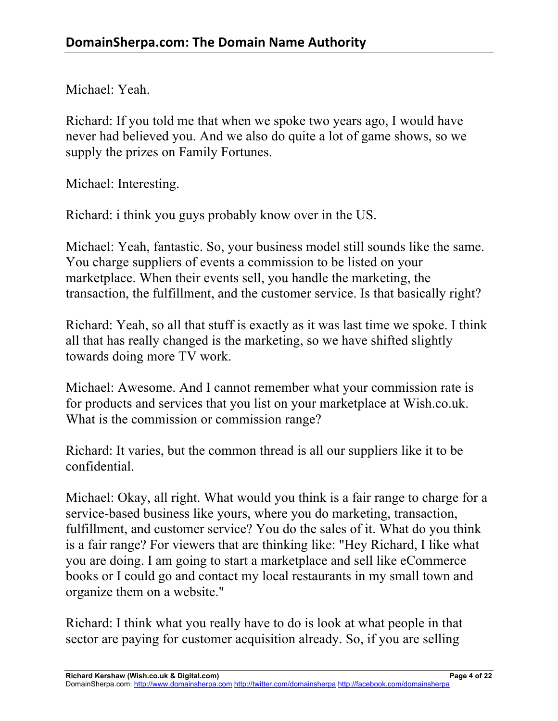Michael: Yeah.

Richard: If you told me that when we spoke two years ago, I would have never had believed you. And we also do quite a lot of game shows, so we supply the prizes on Family Fortunes.

Michael: Interesting.

Richard: i think you guys probably know over in the US.

Michael: Yeah, fantastic. So, your business model still sounds like the same. You charge suppliers of events a commission to be listed on your marketplace. When their events sell, you handle the marketing, the transaction, the fulfillment, and the customer service. Is that basically right?

Richard: Yeah, so all that stuff is exactly as it was last time we spoke. I think all that has really changed is the marketing, so we have shifted slightly towards doing more TV work.

Michael: Awesome. And I cannot remember what your commission rate is for products and services that you list on your marketplace at Wish.co.uk. What is the commission or commission range?

Richard: It varies, but the common thread is all our suppliers like it to be confidential.

Michael: Okay, all right. What would you think is a fair range to charge for a service-based business like yours, where you do marketing, transaction, fulfillment, and customer service? You do the sales of it. What do you think is a fair range? For viewers that are thinking like: "Hey Richard, I like what you are doing. I am going to start a marketplace and sell like eCommerce books or I could go and contact my local restaurants in my small town and organize them on a website."

Richard: I think what you really have to do is look at what people in that sector are paying for customer acquisition already. So, if you are selling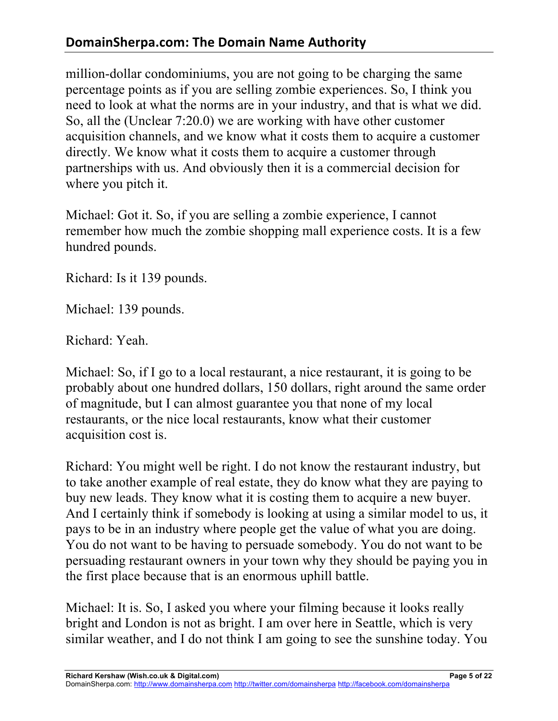million-dollar condominiums, you are not going to be charging the same percentage points as if you are selling zombie experiences. So, I think you need to look at what the norms are in your industry, and that is what we did. So, all the (Unclear 7:20.0) we are working with have other customer acquisition channels, and we know what it costs them to acquire a customer directly. We know what it costs them to acquire a customer through partnerships with us. And obviously then it is a commercial decision for where you pitch it.

Michael: Got it. So, if you are selling a zombie experience, I cannot remember how much the zombie shopping mall experience costs. It is a few hundred pounds.

Richard: Is it 139 pounds.

Michael: 139 pounds.

Richard: Yeah.

Michael: So, if I go to a local restaurant, a nice restaurant, it is going to be probably about one hundred dollars, 150 dollars, right around the same order of magnitude, but I can almost guarantee you that none of my local restaurants, or the nice local restaurants, know what their customer acquisition cost is.

Richard: You might well be right. I do not know the restaurant industry, but to take another example of real estate, they do know what they are paying to buy new leads. They know what it is costing them to acquire a new buyer. And I certainly think if somebody is looking at using a similar model to us, it pays to be in an industry where people get the value of what you are doing. You do not want to be having to persuade somebody. You do not want to be persuading restaurant owners in your town why they should be paying you in the first place because that is an enormous uphill battle.

Michael: It is. So, I asked you where your filming because it looks really bright and London is not as bright. I am over here in Seattle, which is very similar weather, and I do not think I am going to see the sunshine today. You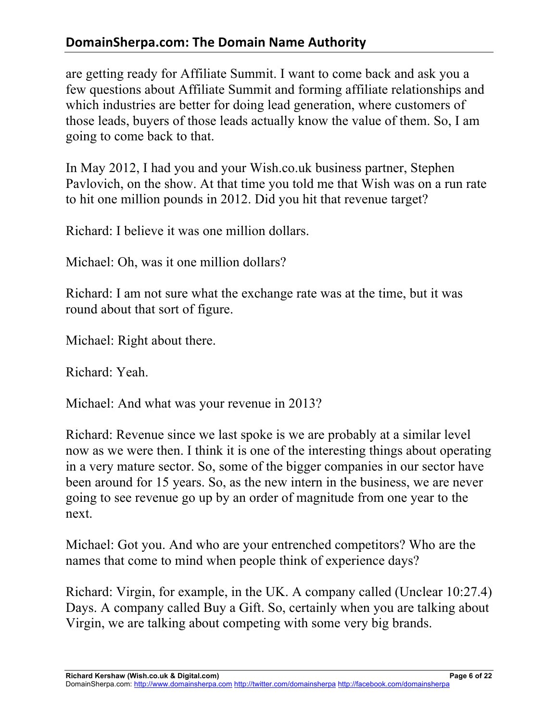## **DomainSherpa.com: The Domain Name Authority**

are getting ready for Affiliate Summit. I want to come back and ask you a few questions about Affiliate Summit and forming affiliate relationships and which industries are better for doing lead generation, where customers of those leads, buyers of those leads actually know the value of them. So, I am going to come back to that.

In May 2012, I had you and your Wish.co.uk business partner, Stephen Pavlovich, on the show. At that time you told me that Wish was on a run rate to hit one million pounds in 2012. Did you hit that revenue target?

Richard: I believe it was one million dollars.

Michael: Oh, was it one million dollars?

Richard: I am not sure what the exchange rate was at the time, but it was round about that sort of figure.

Michael: Right about there.

Richard: Yeah.

Michael: And what was your revenue in 2013?

Richard: Revenue since we last spoke is we are probably at a similar level now as we were then. I think it is one of the interesting things about operating in a very mature sector. So, some of the bigger companies in our sector have been around for 15 years. So, as the new intern in the business, we are never going to see revenue go up by an order of magnitude from one year to the next.

Michael: Got you. And who are your entrenched competitors? Who are the names that come to mind when people think of experience days?

Richard: Virgin, for example, in the UK. A company called (Unclear 10:27.4) Days. A company called Buy a Gift. So, certainly when you are talking about Virgin, we are talking about competing with some very big brands.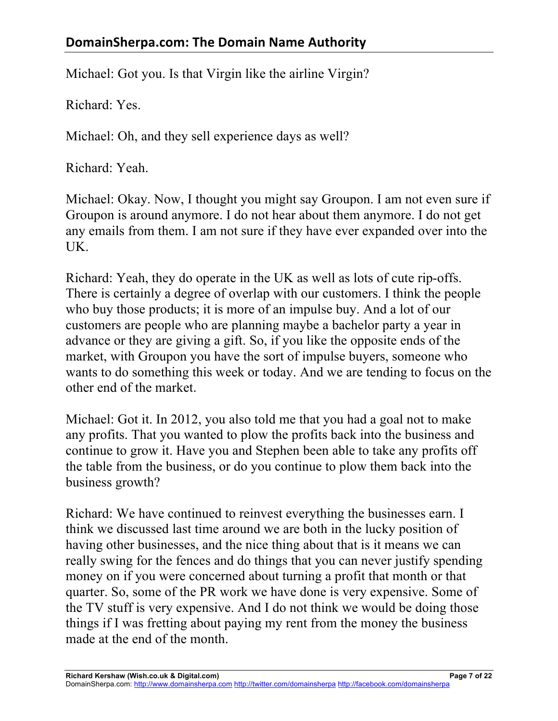Michael: Got you. Is that Virgin like the airline Virgin?

Richard: Yes.

Michael: Oh, and they sell experience days as well?

Richard: Yeah.

Michael: Okay. Now, I thought you might say Groupon. I am not even sure if Groupon is around anymore. I do not hear about them anymore. I do not get any emails from them. I am not sure if they have ever expanded over into the UK.

Richard: Yeah, they do operate in the UK as well as lots of cute rip-offs. There is certainly a degree of overlap with our customers. I think the people who buy those products; it is more of an impulse buy. And a lot of our customers are people who are planning maybe a bachelor party a year in advance or they are giving a gift. So, if you like the opposite ends of the market, with Groupon you have the sort of impulse buyers, someone who wants to do something this week or today. And we are tending to focus on the other end of the market.

Michael: Got it. In 2012, you also told me that you had a goal not to make any profits. That you wanted to plow the profits back into the business and continue to grow it. Have you and Stephen been able to take any profits off the table from the business, or do you continue to plow them back into the business growth?

Richard: We have continued to reinvest everything the businesses earn. I think we discussed last time around we are both in the lucky position of having other businesses, and the nice thing about that is it means we can really swing for the fences and do things that you can never justify spending money on if you were concerned about turning a profit that month or that quarter. So, some of the PR work we have done is very expensive. Some of the TV stuff is very expensive. And I do not think we would be doing those things if I was fretting about paying my rent from the money the business made at the end of the month.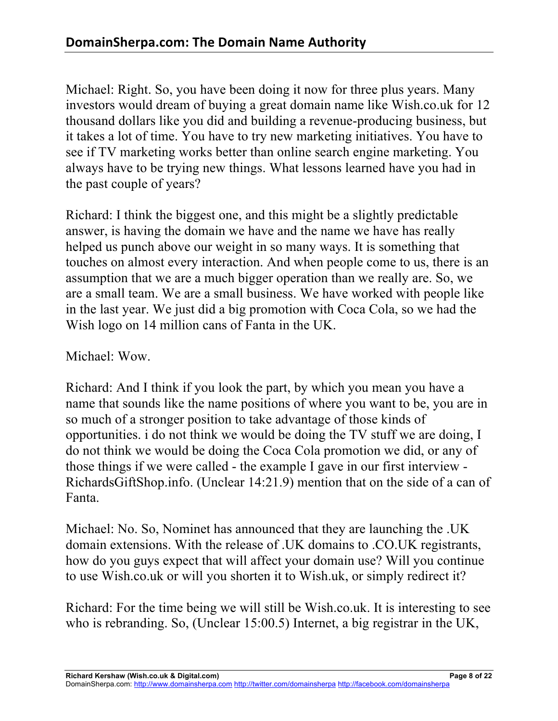Michael: Right. So, you have been doing it now for three plus years. Many investors would dream of buying a great domain name like Wish.co.uk for 12 thousand dollars like you did and building a revenue-producing business, but it takes a lot of time. You have to try new marketing initiatives. You have to see if TV marketing works better than online search engine marketing. You always have to be trying new things. What lessons learned have you had in the past couple of years?

Richard: I think the biggest one, and this might be a slightly predictable answer, is having the domain we have and the name we have has really helped us punch above our weight in so many ways. It is something that touches on almost every interaction. And when people come to us, there is an assumption that we are a much bigger operation than we really are. So, we are a small team. We are a small business. We have worked with people like in the last year. We just did a big promotion with Coca Cola, so we had the Wish logo on 14 million cans of Fanta in the UK.

Michael: Wow.

Richard: And I think if you look the part, by which you mean you have a name that sounds like the name positions of where you want to be, you are in so much of a stronger position to take advantage of those kinds of opportunities. i do not think we would be doing the TV stuff we are doing, I do not think we would be doing the Coca Cola promotion we did, or any of those things if we were called - the example I gave in our first interview - RichardsGiftShop.info. (Unclear 14:21.9) mention that on the side of a can of Fanta.

Michael: No. So, Nominet has announced that they are launching the .UK domain extensions. With the release of .UK domains to .CO.UK registrants, how do you guys expect that will affect your domain use? Will you continue to use Wish.co.uk or will you shorten it to Wish.uk, or simply redirect it?

Richard: For the time being we will still be Wish.co.uk. It is interesting to see who is rebranding. So, (Unclear 15:00.5) Internet, a big registrar in the UK,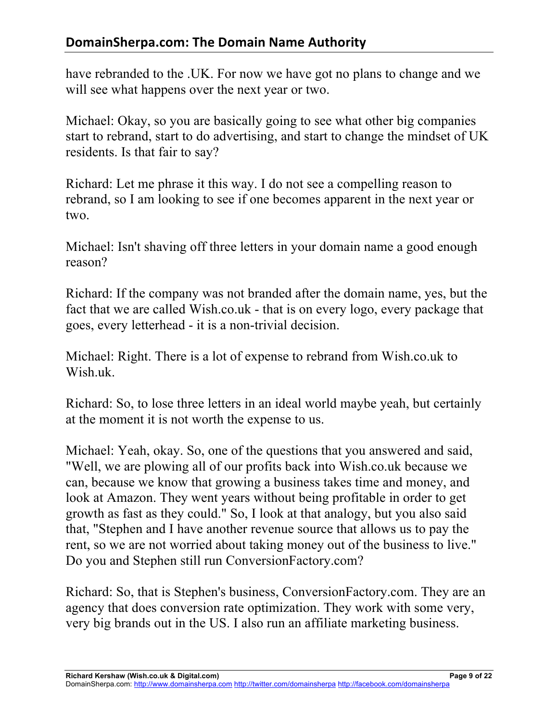have rebranded to the .UK. For now we have got no plans to change and we will see what happens over the next year or two.

Michael: Okay, so you are basically going to see what other big companies start to rebrand, start to do advertising, and start to change the mindset of UK residents. Is that fair to say?

Richard: Let me phrase it this way. I do not see a compelling reason to rebrand, so I am looking to see if one becomes apparent in the next year or two.

Michael: Isn't shaving off three letters in your domain name a good enough reason?

Richard: If the company was not branded after the domain name, yes, but the fact that we are called Wish.co.uk - that is on every logo, every package that goes, every letterhead - it is a non-trivial decision.

Michael: Right. There is a lot of expense to rebrand from Wish.co.uk to Wish.uk.

Richard: So, to lose three letters in an ideal world maybe yeah, but certainly at the moment it is not worth the expense to us.

Michael: Yeah, okay. So, one of the questions that you answered and said, "Well, we are plowing all of our profits back into Wish.co.uk because we can, because we know that growing a business takes time and money, and look at Amazon. They went years without being profitable in order to get growth as fast as they could." So, I look at that analogy, but you also said that, "Stephen and I have another revenue source that allows us to pay the rent, so we are not worried about taking money out of the business to live." Do you and Stephen still run ConversionFactory.com?

Richard: So, that is Stephen's business, ConversionFactory.com. They are an agency that does conversion rate optimization. They work with some very, very big brands out in the US. I also run an affiliate marketing business.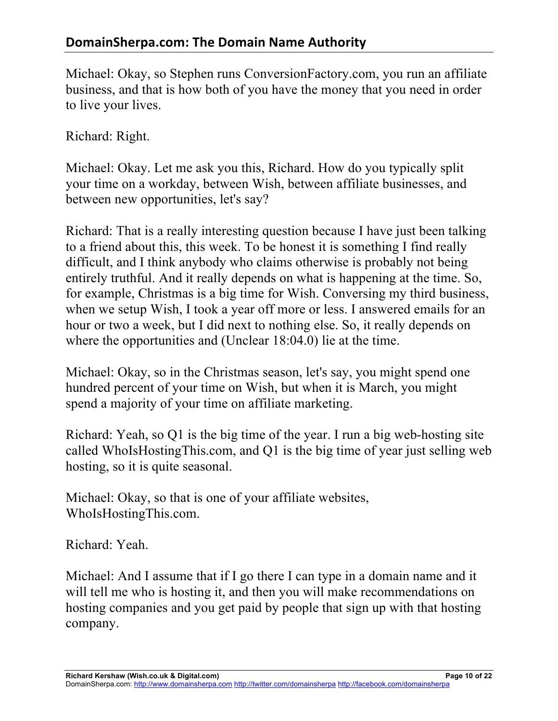Michael: Okay, so Stephen runs ConversionFactory.com, you run an affiliate business, and that is how both of you have the money that you need in order to live your lives.

Richard: Right.

Michael: Okay. Let me ask you this, Richard. How do you typically split your time on a workday, between Wish, between affiliate businesses, and between new opportunities, let's say?

Richard: That is a really interesting question because I have just been talking to a friend about this, this week. To be honest it is something I find really difficult, and I think anybody who claims otherwise is probably not being entirely truthful. And it really depends on what is happening at the time. So, for example, Christmas is a big time for Wish. Conversing my third business, when we setup Wish, I took a year off more or less. I answered emails for an hour or two a week, but I did next to nothing else. So, it really depends on where the opportunities and (Unclear 18:04.0) lie at the time.

Michael: Okay, so in the Christmas season, let's say, you might spend one hundred percent of your time on Wish, but when it is March, you might spend a majority of your time on affiliate marketing.

Richard: Yeah, so Q1 is the big time of the year. I run a big web-hosting site called WhoIsHostingThis.com, and Q1 is the big time of year just selling web hosting, so it is quite seasonal.

Michael: Okay, so that is one of your affiliate websites, WhoIsHostingThis.com.

Richard: Yeah.

Michael: And I assume that if I go there I can type in a domain name and it will tell me who is hosting it, and then you will make recommendations on hosting companies and you get paid by people that sign up with that hosting company.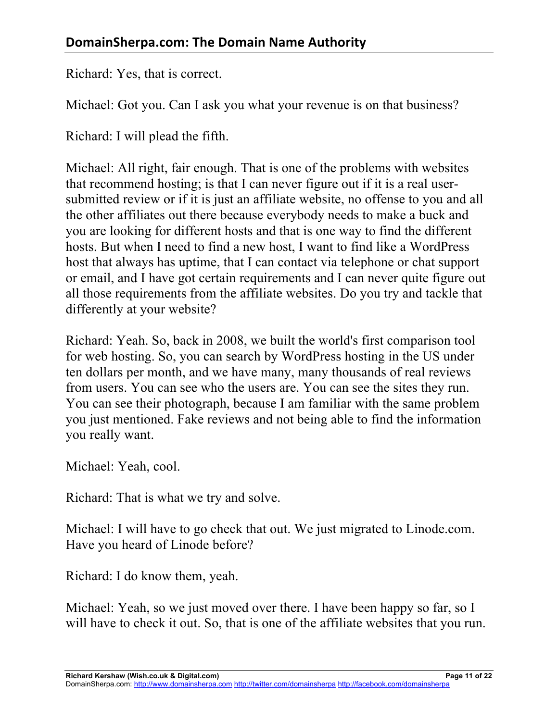Richard: Yes, that is correct.

Michael: Got you. Can I ask you what your revenue is on that business?

Richard: I will plead the fifth.

Michael: All right, fair enough. That is one of the problems with websites that recommend hosting; is that I can never figure out if it is a real usersubmitted review or if it is just an affiliate website, no offense to you and all the other affiliates out there because everybody needs to make a buck and you are looking for different hosts and that is one way to find the different hosts. But when I need to find a new host, I want to find like a WordPress host that always has uptime, that I can contact via telephone or chat support or email, and I have got certain requirements and I can never quite figure out all those requirements from the affiliate websites. Do you try and tackle that differently at your website?

Richard: Yeah. So, back in 2008, we built the world's first comparison tool for web hosting. So, you can search by WordPress hosting in the US under ten dollars per month, and we have many, many thousands of real reviews from users. You can see who the users are. You can see the sites they run. You can see their photograph, because I am familiar with the same problem you just mentioned. Fake reviews and not being able to find the information you really want.

Michael: Yeah, cool.

Richard: That is what we try and solve.

Michael: I will have to go check that out. We just migrated to Linode.com. Have you heard of Linode before?

Richard: I do know them, yeah.

Michael: Yeah, so we just moved over there. I have been happy so far, so I will have to check it out. So, that is one of the affiliate websites that you run.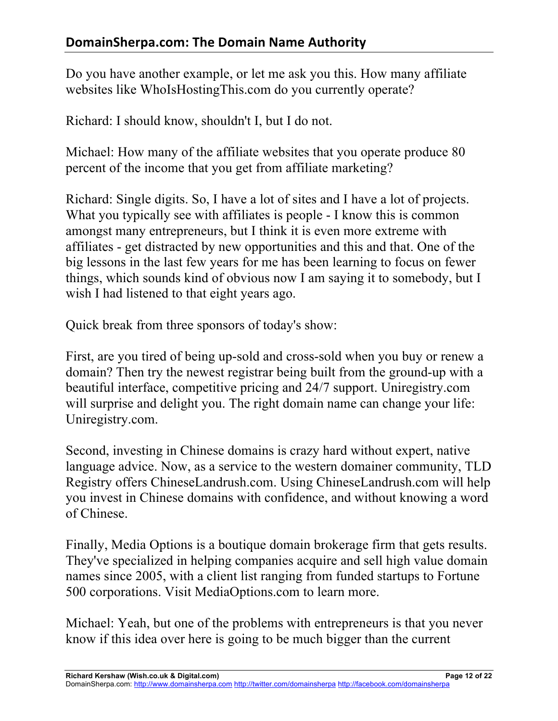Do you have another example, or let me ask you this. How many affiliate websites like WhoIsHostingThis.com do you currently operate?

Richard: I should know, shouldn't I, but I do not.

Michael: How many of the affiliate websites that you operate produce 80 percent of the income that you get from affiliate marketing?

Richard: Single digits. So, I have a lot of sites and I have a lot of projects. What you typically see with affiliates is people - I know this is common amongst many entrepreneurs, but I think it is even more extreme with affiliates - get distracted by new opportunities and this and that. One of the big lessons in the last few years for me has been learning to focus on fewer things, which sounds kind of obvious now I am saying it to somebody, but I wish I had listened to that eight years ago.

Quick break from three sponsors of today's show:

First, are you tired of being up-sold and cross-sold when you buy or renew a domain? Then try the newest registrar being built from the ground-up with a beautiful interface, competitive pricing and 24/7 support. Uniregistry.com will surprise and delight you. The right domain name can change your life: Uniregistry.com.

Second, investing in Chinese domains is crazy hard without expert, native language advice. Now, as a service to the western domainer community, TLD Registry offers ChineseLandrush.com. Using ChineseLandrush.com will help you invest in Chinese domains with confidence, and without knowing a word of Chinese.

Finally, Media Options is a boutique domain brokerage firm that gets results. They've specialized in helping companies acquire and sell high value domain names since 2005, with a client list ranging from funded startups to Fortune 500 corporations. Visit MediaOptions.com to learn more.

Michael: Yeah, but one of the problems with entrepreneurs is that you never know if this idea over here is going to be much bigger than the current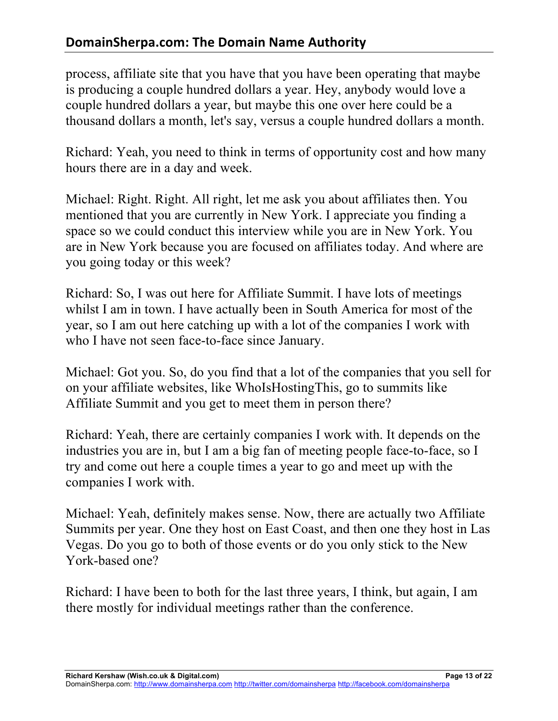process, affiliate site that you have that you have been operating that maybe is producing a couple hundred dollars a year. Hey, anybody would love a couple hundred dollars a year, but maybe this one over here could be a thousand dollars a month, let's say, versus a couple hundred dollars a month.

Richard: Yeah, you need to think in terms of opportunity cost and how many hours there are in a day and week.

Michael: Right. Right. All right, let me ask you about affiliates then. You mentioned that you are currently in New York. I appreciate you finding a space so we could conduct this interview while you are in New York. You are in New York because you are focused on affiliates today. And where are you going today or this week?

Richard: So, I was out here for Affiliate Summit. I have lots of meetings whilst I am in town. I have actually been in South America for most of the year, so I am out here catching up with a lot of the companies I work with who I have not seen face-to-face since January.

Michael: Got you. So, do you find that a lot of the companies that you sell for on your affiliate websites, like WhoIsHostingThis, go to summits like Affiliate Summit and you get to meet them in person there?

Richard: Yeah, there are certainly companies I work with. It depends on the industries you are in, but I am a big fan of meeting people face-to-face, so I try and come out here a couple times a year to go and meet up with the companies I work with.

Michael: Yeah, definitely makes sense. Now, there are actually two Affiliate Summits per year. One they host on East Coast, and then one they host in Las Vegas. Do you go to both of those events or do you only stick to the New York-based one?

Richard: I have been to both for the last three years, I think, but again, I am there mostly for individual meetings rather than the conference.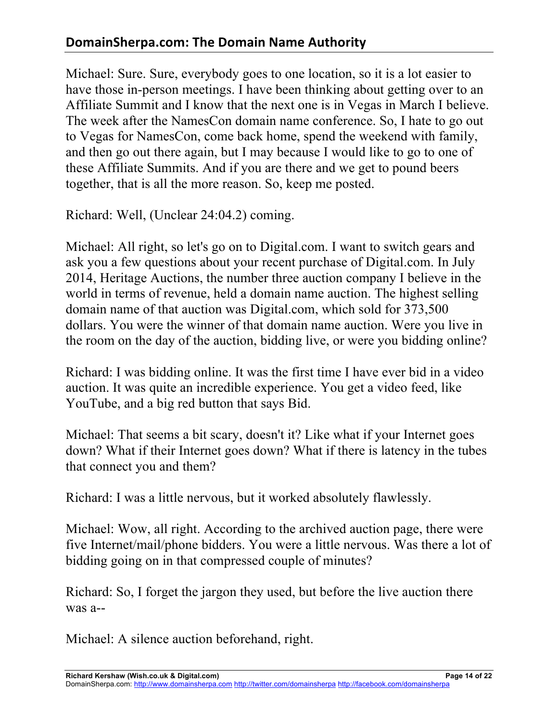## **DomainSherpa.com: The Domain Name Authority**

Michael: Sure. Sure, everybody goes to one location, so it is a lot easier to have those in-person meetings. I have been thinking about getting over to an Affiliate Summit and I know that the next one is in Vegas in March I believe. The week after the NamesCon domain name conference. So, I hate to go out to Vegas for NamesCon, come back home, spend the weekend with family, and then go out there again, but I may because I would like to go to one of these Affiliate Summits. And if you are there and we get to pound beers together, that is all the more reason. So, keep me posted.

Richard: Well, (Unclear 24:04.2) coming.

Michael: All right, so let's go on to Digital.com. I want to switch gears and ask you a few questions about your recent purchase of Digital.com. In July 2014, Heritage Auctions, the number three auction company I believe in the world in terms of revenue, held a domain name auction. The highest selling domain name of that auction was Digital.com, which sold for 373,500 dollars. You were the winner of that domain name auction. Were you live in the room on the day of the auction, bidding live, or were you bidding online?

Richard: I was bidding online. It was the first time I have ever bid in a video auction. It was quite an incredible experience. You get a video feed, like YouTube, and a big red button that says Bid.

Michael: That seems a bit scary, doesn't it? Like what if your Internet goes down? What if their Internet goes down? What if there is latency in the tubes that connect you and them?

Richard: I was a little nervous, but it worked absolutely flawlessly.

Michael: Wow, all right. According to the archived auction page, there were five Internet/mail/phone bidders. You were a little nervous. Was there a lot of bidding going on in that compressed couple of minutes?

Richard: So, I forget the jargon they used, but before the live auction there was a--

Michael: A silence auction beforehand, right.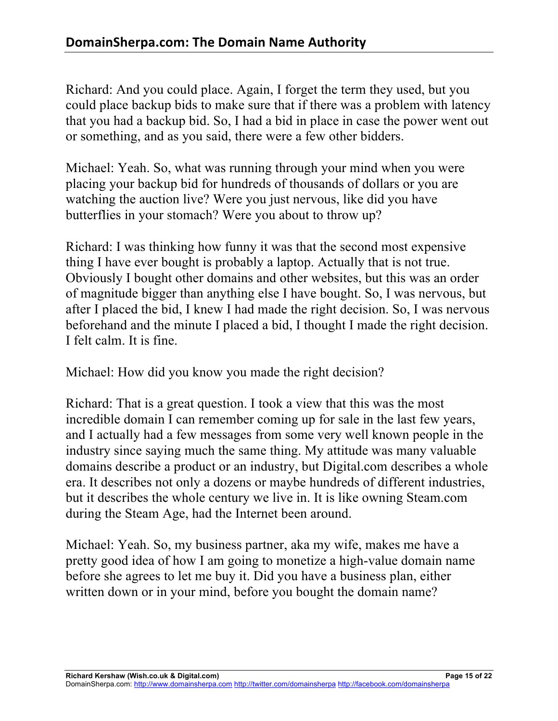Richard: And you could place. Again, I forget the term they used, but you could place backup bids to make sure that if there was a problem with latency that you had a backup bid. So, I had a bid in place in case the power went out or something, and as you said, there were a few other bidders.

Michael: Yeah. So, what was running through your mind when you were placing your backup bid for hundreds of thousands of dollars or you are watching the auction live? Were you just nervous, like did you have butterflies in your stomach? Were you about to throw up?

Richard: I was thinking how funny it was that the second most expensive thing I have ever bought is probably a laptop. Actually that is not true. Obviously I bought other domains and other websites, but this was an order of magnitude bigger than anything else I have bought. So, I was nervous, but after I placed the bid, I knew I had made the right decision. So, I was nervous beforehand and the minute I placed a bid, I thought I made the right decision. I felt calm. It is fine.

Michael: How did you know you made the right decision?

Richard: That is a great question. I took a view that this was the most incredible domain I can remember coming up for sale in the last few years, and I actually had a few messages from some very well known people in the industry since saying much the same thing. My attitude was many valuable domains describe a product or an industry, but Digital.com describes a whole era. It describes not only a dozens or maybe hundreds of different industries, but it describes the whole century we live in. It is like owning Steam.com during the Steam Age, had the Internet been around.

Michael: Yeah. So, my business partner, aka my wife, makes me have a pretty good idea of how I am going to monetize a high-value domain name before she agrees to let me buy it. Did you have a business plan, either written down or in your mind, before you bought the domain name?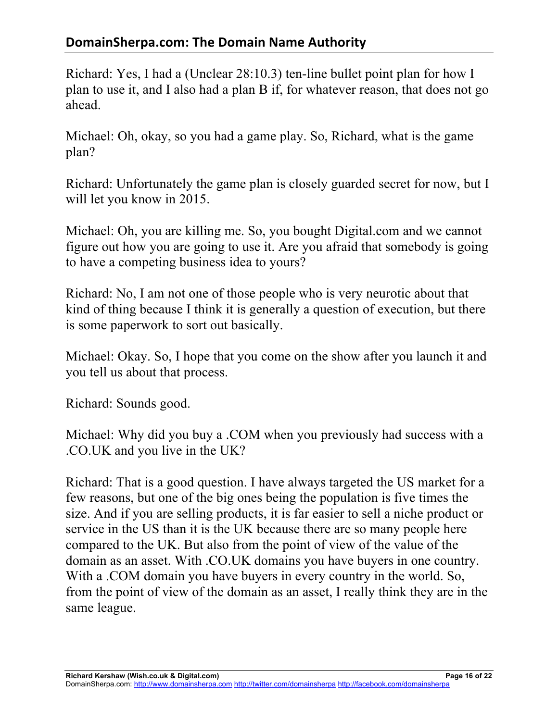## **DomainSherpa.com: The Domain Name Authority**

Richard: Yes, I had a (Unclear 28:10.3) ten-line bullet point plan for how I plan to use it, and I also had a plan B if, for whatever reason, that does not go ahead.

Michael: Oh, okay, so you had a game play. So, Richard, what is the game plan?

Richard: Unfortunately the game plan is closely guarded secret for now, but I will let you know in 2015.

Michael: Oh, you are killing me. So, you bought Digital.com and we cannot figure out how you are going to use it. Are you afraid that somebody is going to have a competing business idea to yours?

Richard: No, I am not one of those people who is very neurotic about that kind of thing because I think it is generally a question of execution, but there is some paperwork to sort out basically.

Michael: Okay. So, I hope that you come on the show after you launch it and you tell us about that process.

Richard: Sounds good.

Michael: Why did you buy a .COM when you previously had success with a .CO.UK and you live in the UK?

Richard: That is a good question. I have always targeted the US market for a few reasons, but one of the big ones being the population is five times the size. And if you are selling products, it is far easier to sell a niche product or service in the US than it is the UK because there are so many people here compared to the UK. But also from the point of view of the value of the domain as an asset. With .CO.UK domains you have buyers in one country. With a .COM domain you have buyers in every country in the world. So, from the point of view of the domain as an asset, I really think they are in the same league.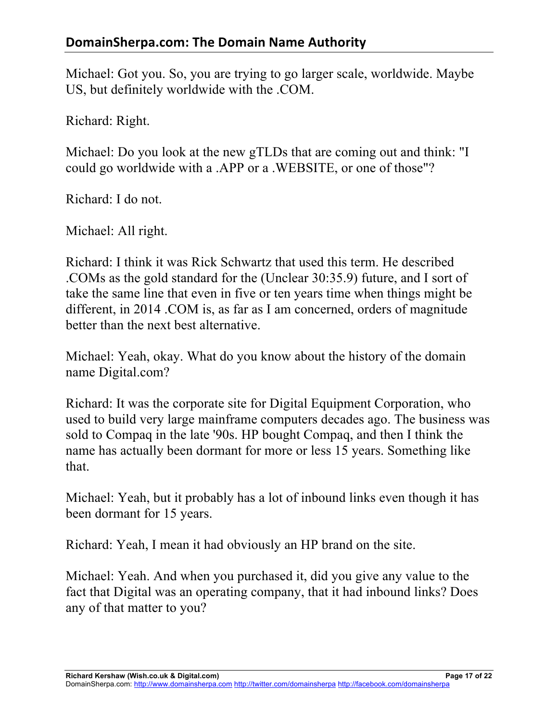Michael: Got you. So, you are trying to go larger scale, worldwide. Maybe US, but definitely worldwide with the .COM.

Richard: Right.

Michael: Do you look at the new gTLDs that are coming out and think: "I could go worldwide with a .APP or a .WEBSITE, or one of those"?

Richard: I do not.

Michael: All right.

Richard: I think it was Rick Schwartz that used this term. He described .COMs as the gold standard for the (Unclear 30:35.9) future, and I sort of take the same line that even in five or ten years time when things might be different, in 2014 .COM is, as far as I am concerned, orders of magnitude better than the next best alternative.

Michael: Yeah, okay. What do you know about the history of the domain name Digital.com?

Richard: It was the corporate site for Digital Equipment Corporation, who used to build very large mainframe computers decades ago. The business was sold to Compaq in the late '90s. HP bought Compaq, and then I think the name has actually been dormant for more or less 15 years. Something like that.

Michael: Yeah, but it probably has a lot of inbound links even though it has been dormant for 15 years.

Richard: Yeah, I mean it had obviously an HP brand on the site.

Michael: Yeah. And when you purchased it, did you give any value to the fact that Digital was an operating company, that it had inbound links? Does any of that matter to you?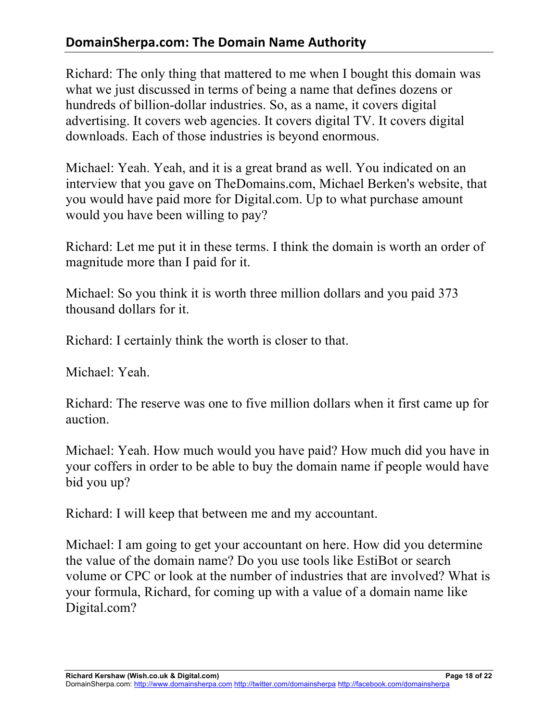## **DomainSherpa.com: The Domain Name Authority**

Richard: The only thing that mattered to me when I bought this domain was what we just discussed in terms of being a name that defines dozens or hundreds of billion-dollar industries. So, as a name, it covers digital advertising. It covers web agencies. It covers digital TV. It covers digital downloads. Each of those industries is beyond enormous.

Michael: Yeah. Yeah, and it is a great brand as well. You indicated on an interview that you gave on TheDomains.com, Michael Berken's website, that you would have paid more for Digital.com. Up to what purchase amount would you have been willing to pay?

Richard: Let me put it in these terms. I think the domain is worth an order of magnitude more than I paid for it.

Michael: So you think it is worth three million dollars and you paid 373 thousand dollars for it.

Richard: I certainly think the worth is closer to that.

Michael: Yeah.

Richard: The reserve was one to five million dollars when it first came up for auction.

Michael: Yeah. How much would you have paid? How much did you have in your coffers in order to be able to buy the domain name if people would have bid you up?

Richard: I will keep that between me and my accountant.

Michael: I am going to get your accountant on here. How did you determine the value of the domain name? Do you use tools like EstiBot or search volume or CPC or look at the number of industries that are involved? What is your formula, Richard, for coming up with a value of a domain name like Digital.com?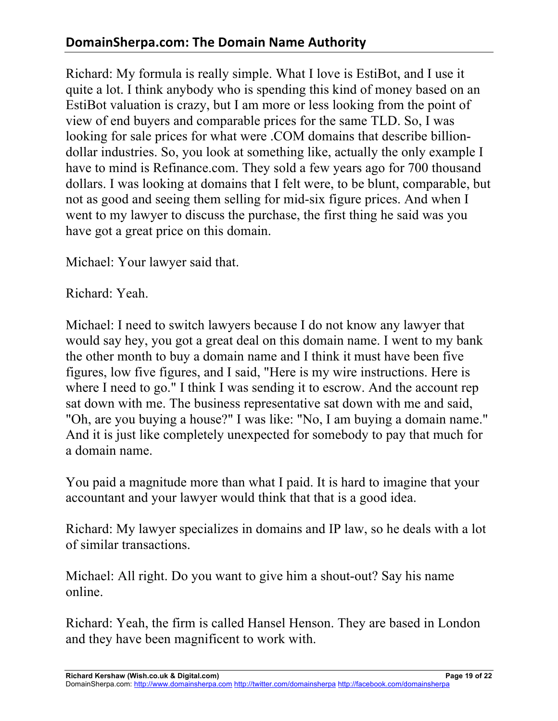## **DomainSherpa.com: The Domain Name Authority**

Richard: My formula is really simple. What I love is EstiBot, and I use it quite a lot. I think anybody who is spending this kind of money based on an EstiBot valuation is crazy, but I am more or less looking from the point of view of end buyers and comparable prices for the same TLD. So, I was looking for sale prices for what were .COM domains that describe billiondollar industries. So, you look at something like, actually the only example I have to mind is Refinance.com. They sold a few years ago for 700 thousand dollars. I was looking at domains that I felt were, to be blunt, comparable, but not as good and seeing them selling for mid-six figure prices. And when I went to my lawyer to discuss the purchase, the first thing he said was you have got a great price on this domain.

Michael: Your lawyer said that.

Richard: Yeah.

Michael: I need to switch lawyers because I do not know any lawyer that would say hey, you got a great deal on this domain name. I went to my bank the other month to buy a domain name and I think it must have been five figures, low five figures, and I said, "Here is my wire instructions. Here is where I need to go." I think I was sending it to escrow. And the account rep sat down with me. The business representative sat down with me and said, "Oh, are you buying a house?" I was like: "No, I am buying a domain name." And it is just like completely unexpected for somebody to pay that much for a domain name.

You paid a magnitude more than what I paid. It is hard to imagine that your accountant and your lawyer would think that that is a good idea.

Richard: My lawyer specializes in domains and IP law, so he deals with a lot of similar transactions.

Michael: All right. Do you want to give him a shout-out? Say his name online.

Richard: Yeah, the firm is called Hansel Henson. They are based in London and they have been magnificent to work with.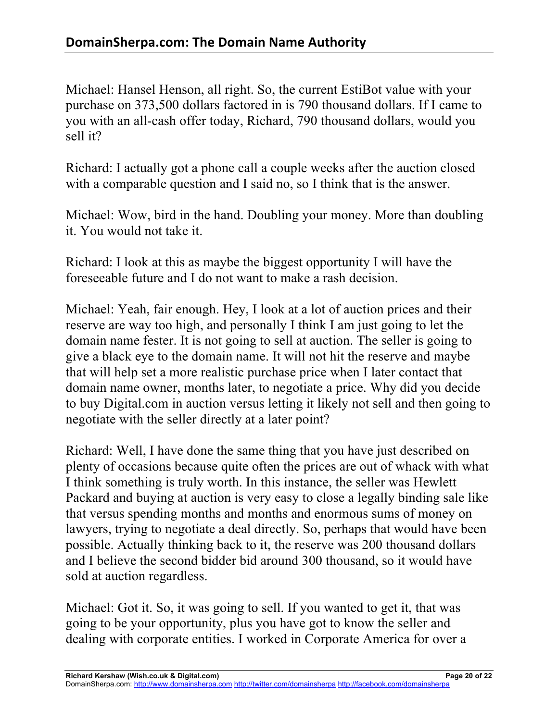Michael: Hansel Henson, all right. So, the current EstiBot value with your purchase on 373,500 dollars factored in is 790 thousand dollars. If I came to you with an all-cash offer today, Richard, 790 thousand dollars, would you sell it?

Richard: I actually got a phone call a couple weeks after the auction closed with a comparable question and I said no, so I think that is the answer.

Michael: Wow, bird in the hand. Doubling your money. More than doubling it. You would not take it.

Richard: I look at this as maybe the biggest opportunity I will have the foreseeable future and I do not want to make a rash decision.

Michael: Yeah, fair enough. Hey, I look at a lot of auction prices and their reserve are way too high, and personally I think I am just going to let the domain name fester. It is not going to sell at auction. The seller is going to give a black eye to the domain name. It will not hit the reserve and maybe that will help set a more realistic purchase price when I later contact that domain name owner, months later, to negotiate a price. Why did you decide to buy Digital.com in auction versus letting it likely not sell and then going to negotiate with the seller directly at a later point?

Richard: Well, I have done the same thing that you have just described on plenty of occasions because quite often the prices are out of whack with what I think something is truly worth. In this instance, the seller was Hewlett Packard and buying at auction is very easy to close a legally binding sale like that versus spending months and months and enormous sums of money on lawyers, trying to negotiate a deal directly. So, perhaps that would have been possible. Actually thinking back to it, the reserve was 200 thousand dollars and I believe the second bidder bid around 300 thousand, so it would have sold at auction regardless.

Michael: Got it. So, it was going to sell. If you wanted to get it, that was going to be your opportunity, plus you have got to know the seller and dealing with corporate entities. I worked in Corporate America for over a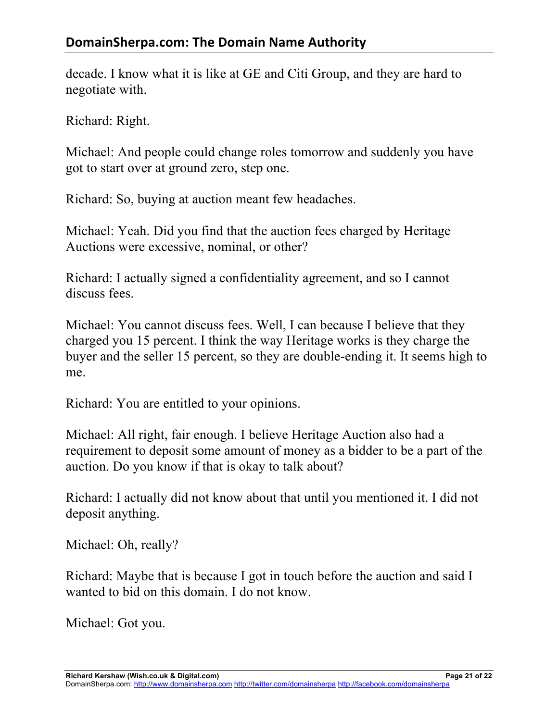decade. I know what it is like at GE and Citi Group, and they are hard to negotiate with.

Richard: Right.

Michael: And people could change roles tomorrow and suddenly you have got to start over at ground zero, step one.

Richard: So, buying at auction meant few headaches.

Michael: Yeah. Did you find that the auction fees charged by Heritage Auctions were excessive, nominal, or other?

Richard: I actually signed a confidentiality agreement, and so I cannot discuss fees.

Michael: You cannot discuss fees. Well, I can because I believe that they charged you 15 percent. I think the way Heritage works is they charge the buyer and the seller 15 percent, so they are double-ending it. It seems high to me.

Richard: You are entitled to your opinions.

Michael: All right, fair enough. I believe Heritage Auction also had a requirement to deposit some amount of money as a bidder to be a part of the auction. Do you know if that is okay to talk about?

Richard: I actually did not know about that until you mentioned it. I did not deposit anything.

Michael: Oh, really?

Richard: Maybe that is because I got in touch before the auction and said I wanted to bid on this domain. I do not know.

Michael: Got you.